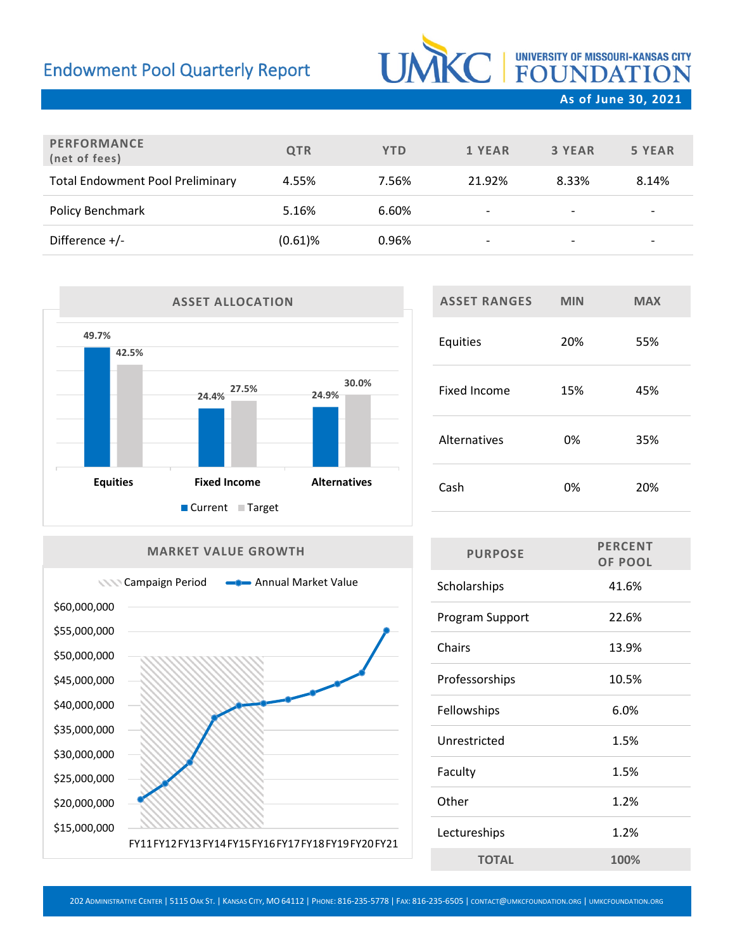## Endowment Pool Quarterly Report

# UNIC | UNIVERSITY OF MISSOURI-KANSAS CITY

**As of June 30, 2021**

| <b>PERFORMANCE</b><br>(net of fees)     | <b>QTR</b> | <b>YTD</b> | 1 YEAR                   | 3 YEAR                   | 5 YEAR                   |
|-----------------------------------------|------------|------------|--------------------------|--------------------------|--------------------------|
| <b>Total Endowment Pool Preliminary</b> | 4.55%      | 7.56%      | 21.92%                   | 8.33%                    | 8.14%                    |
| Policy Benchmark                        | 5.16%      | 6.60%      | $\overline{\phantom{a}}$ | $\overline{\phantom{a}}$ | $\overline{\phantom{a}}$ |
| Difference $+/-$                        | $(0.61)$ % | 0.96%      | ۰                        |                          | $\overline{\phantom{a}}$ |



# **ASSET RANGES MIN MAX** Equities 20% 55% Fixed Income 15% 45% Alternatives 0% 35% Cash 0% 20%

#### **MARKET VALUE GROWTH**



| <b>PURPOSE</b>  | <b>PERCENT</b><br><b>OF POOL</b> |  |  |
|-----------------|----------------------------------|--|--|
| Scholarships    | 41.6%                            |  |  |
| Program Support | 22.6%                            |  |  |
| Chairs          | 13.9%                            |  |  |
| Professorships  | 10.5%                            |  |  |
| Fellowships     | 6.0%                             |  |  |
| Unrestricted    | 1.5%                             |  |  |
| Faculty         | 1.5%                             |  |  |
| Other           | 1.2%                             |  |  |
| Lectureships    | 1.2%                             |  |  |
| <b>TOTAL</b>    | 100%                             |  |  |